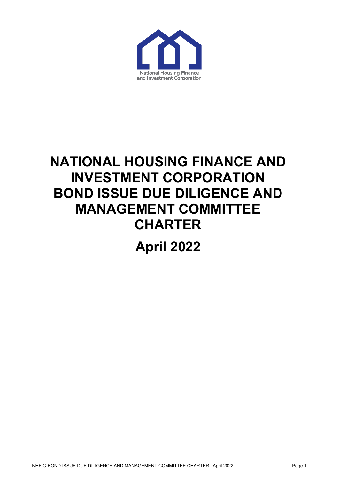

# **NATIONAL HOUSING FINANCE AND INVESTMENT CORPORATION BOND ISSUE DUE DILIGENCE AND MANAGEMENT COMMITTEE CHARTER April 2022**

NHFIC BOND ISSUE DUE DILIGENCE AND MANAGEMENT COMMITTEE CHARTER | April 2022 Page 1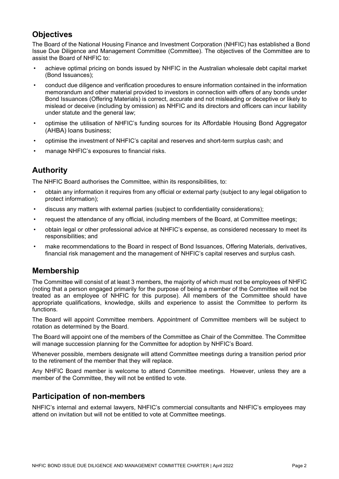# **Objectives**

The Board of the National Housing Finance and Investment Corporation (NHFIC) has established a Bond Issue Due Diligence and Management Committee (Committee). The objectives of the Committee are to assist the Board of NHFIC to:

- achieve optimal pricing on bonds issued by NHFIC in the Australian wholesale debt capital market (Bond Issuances);
- conduct due diligence and verification procedures to ensure information contained in the information memorandum and other material provided to investors in connection with offers of any bonds under Bond Issuances (Offering Materials) is correct, accurate and not misleading or deceptive or likely to mislead or deceive (including by omission) as NHFIC and its directors and officers can incur liability under statute and the general law;
- optimise the utilisation of NHFIC's funding sources for its Affordable Housing Bond Aggregator (AHBA) loans business;
- optimise the investment of NHFIC's capital and reserves and short-term surplus cash; and
- manage NHFIC's exposures to financial risks.

# **Authority**

The NHFIC Board authorises the Committee, within its responsibilities, to:

- obtain any information it requires from any official or external party (subject to any legal obligation to protect information);
- discuss any matters with external parties (subject to confidentiality considerations);
- request the attendance of any official, including members of the Board, at Committee meetings;
- obtain legal or other professional advice at NHFIC's expense, as considered necessary to meet its responsibilities; and
- make recommendations to the Board in respect of Bond Issuances, Offering Materials, derivatives, financial risk management and the management of NHFIC's capital reserves and surplus cash.

#### **Membership**

The Committee will consist of at least 3 members, the majority of which must not be employees of NHFIC (noting that a person engaged primarily for the purpose of being a member of the Committee will not be treated as an employee of NHFIC for this purpose). All members of the Committee should have appropriate qualifications, knowledge, skills and experience to assist the Committee to perform its functions.

The Board will appoint Committee members. Appointment of Committee members will be subject to rotation as determined by the Board.

The Board will appoint one of the members of the Committee as Chair of the Committee. The Committee will manage succession planning for the Committee for adoption by NHFIC's Board.

Whenever possible, members designate will attend Committee meetings during a transition period prior to the retirement of the member that they will replace.

Any NHFIC Board member is welcome to attend Committee meetings. However, unless they are a member of the Committee, they will not be entitled to vote.

# **Participation of non-members**

NHFIC's internal and external lawyers, NHFIC's commercial consultants and NHFIC's employees may attend on invitation but will not be entitled to vote at Committee meetings.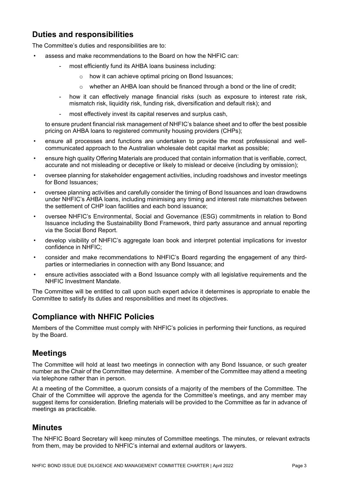# **Duties and responsibilities**

The Committee's duties and responsibilities are to:

- assess and make recommendations to the Board on how the NHFIC can:
	- most efficiently fund its AHBA loans business including:
		- o how it can achieve optimal pricing on Bond Issuances;
		- $\circ$  whether an AHBA loan should be financed through a bond or the line of credit;
	- how it can effectively manage financial risks (such as exposure to interest rate risk, mismatch risk, liquidity risk, funding risk, diversification and default risk); and
	- most effectively invest its capital reserves and surplus cash,

to ensure prudent financial risk management of NHFIC's balance sheet and to offer the best possible pricing on AHBA loans to registered community housing providers (CHPs);

- ensure all processes and functions are undertaken to provide the most professional and wellcommunicated approach to the Australian wholesale debt capital market as possible;
- ensure high quality Offering Materials are produced that contain information that is verifiable, correct, accurate and not misleading or deceptive or likely to mislead or deceive (including by omission);
- oversee planning for stakeholder engagement activities, including roadshows and investor meetings for Bond Issuances;
- oversee planning activities and carefully consider the timing of Bond Issuances and loan drawdowns under NHFIC's AHBA loans, including minimising any timing and interest rate mismatches between the settlement of CHP loan facilities and each bond issuance;
- oversee NHFIC's Environmental, Social and Governance (ESG) commitments in relation to Bond Issuance including the Sustainability Bond Framework, third party assurance and annual reporting via the Social Bond Report.
- develop visibility of NHFIC's aggregate loan book and interpret potential implications for investor confidence in NHFIC;
- consider and make recommendations to NHFIC's Board regarding the engagement of any thirdparties or intermediaries in connection with any Bond Issuance; and
- ensure activities associated with a Bond Issuance comply with all legislative requirements and the NHFIC Investment Mandate.

The Committee will be entitled to call upon such expert advice it determines is appropriate to enable the Committee to satisfy its duties and responsibilities and meet its objectives.

# **Compliance with NHFIC Policies**

Members of the Committee must comply with NHFIC's policies in performing their functions, as required by the Board.

#### **Meetings**

The Committee will hold at least two meetings in connection with any Bond Issuance, or such greater number as the Chair of the Committee may determine. A member of the Committee may attend a meeting via telephone rather than in person.

At a meeting of the Committee, a quorum consists of a majority of the members of the Committee. The Chair of the Committee will approve the agenda for the Committee's meetings, and any member may suggest items for consideration. Briefing materials will be provided to the Committee as far in advance of meetings as practicable.

#### **Minutes**

The NHFIC Board Secretary will keep minutes of Committee meetings. The minutes, or relevant extracts from them, may be provided to NHFIC's internal and external auditors or lawyers.